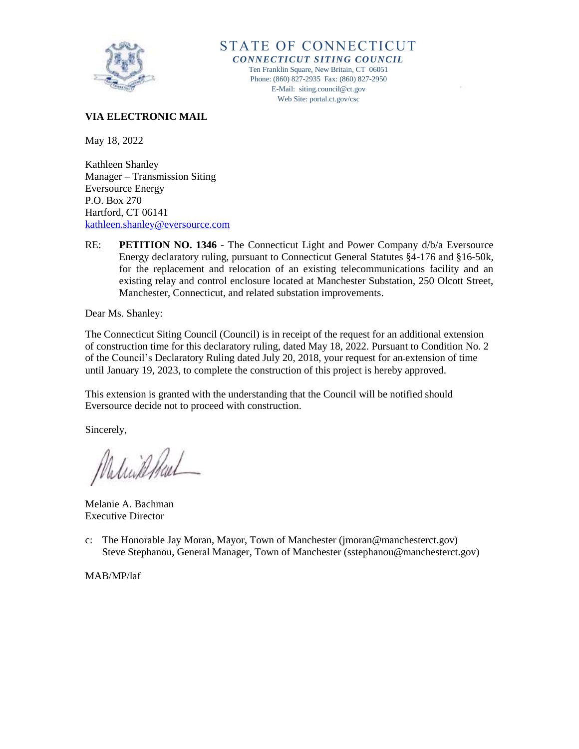

STATE OF CONNECTICUT *CONNECTICUT SITING COUNCIL* Ten Franklin Square, New Britain, CT 06051 Phone: (860) 827-2935 Fax: (860) 827-2950 E-Mail: siting.council@ct.gov Web Site: portal.ct.gov/csc

## **VIA ELECTRONIC MAIL**

May 18, 2022

Kathleen Shanley Manager – Transmission Siting Eversource Energy P.O. Box 270 Hartford, CT 06141 [kathleen.shanley@eversource.com](mailto:kathleen.shanley@eversource.com)

RE: **PETITION NO. 1346** - The Connecticut Light and Power Company d/b/a Eversource Energy declaratory ruling, pursuant to Connecticut General Statutes §4-176 and §16-50k, for the replacement and relocation of an existing telecommunications facility and an existing relay and control enclosure located at Manchester Substation, 250 Olcott Street, Manchester, Connecticut, and related substation improvements.

Dear Ms. Shanley:

The Connecticut Siting Council (Council) is in receipt of the request for an additional extension of construction time for this declaratory ruling, dated May 18, 2022. Pursuant to Condition No. 2 of the Council's Declaratory Ruling dated July 20, 2018, your request for an extension of time until January 19, 2023, to complete the construction of this project is hereby approved.

This extension is granted with the understanding that the Council will be notified should Eversource decide not to proceed with construction.

Sincerely,

Milinkhal

Melanie A. Bachman Executive Director

c: The Honorable Jay Moran, Mayor, Town of Manchester (jmoran@manchesterct.gov) Steve Stephanou, General Manager, Town of Manchester (sstephanou@manchesterct.gov)

MAB/MP/laf